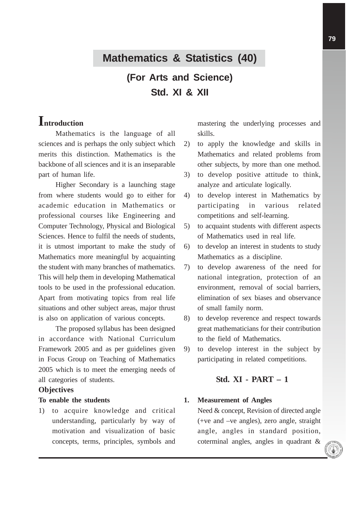# **Mathematics & Statistics (40)**

**(For Arts and Science) Std. XI & XII**

# **Introduction**

Mathematics is the language of all sciences and is perhaps the only subject which merits this distinction. Mathematics is the backbone of all sciences and it is an inseparable part of human life.

Higher Secondary is a launching stage from where students would go to either for academic education in Mathematics or professional courses like Engineering and Computer Technology, Physical and Biological Sciences. Hence to fulfil the needs of students, it is utmost important to make the study of Mathematics more meaningful by acquainting the student with many branches of mathematics. This will help them in developing Mathematical tools to be used in the professional education. Apart from motivating topics from real life situations and other subject areas, major thrust is also on application of various concepts.

The proposed syllabus has been designed in accordance with National Curriculum Framework 2005 and as per guidelines given in Focus Group on Teaching of Mathematics 2005 which is to meet the emerging needs of all categories of students.

#### **Objectives**

#### **To enable the students**

1) to acquire knowledge and critical understanding, particularly by way of motivation and visualization of basic concepts, terms, principles, symbols and mastering the underlying processes and skills.

- 2) to apply the knowledge and skills in Mathematics and related problems from other subjects, by more than one method.
- 3) to develop positive attitude to think, analyze and articulate logically.
- 4) to develop interest in Mathematics by participating in various related competitions and self-learning.
- 5) to acquaint students with different aspects of Mathematics used in real life.
- 6) to develop an interest in students to study Mathematics as a discipline.
- 7) to develop awareness of the need for national integration, protection of an environment, removal of social barriers, elimination of sex biases and observance of small family norm.
- 8) to develop reverence and respect towards great mathematicians for their contribution to the field of Mathematics.
- 9) to develop interest in the subject by participating in related competitions.

# **Std. XI - PART – 1**

# **1. Measurement of Angles**

Need & concept, Revision of directed angle (+ve and –ve angles), zero angle, straight angle, angles in standard position, coterminal angles, angles in quadrant &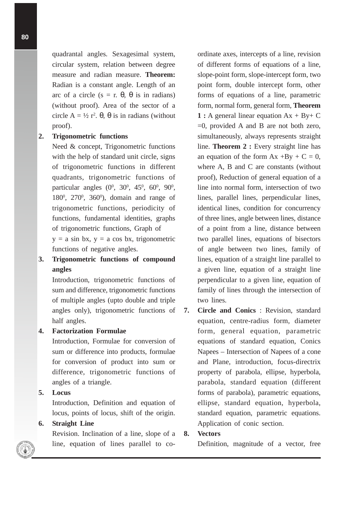quadrantal angles*.* Sexagesimal system, circular system, relation between degree measure and radian measure. **Theorem:** Radian is a constant angle. Length of an arc of a circle ( $s = r$ . θ, θ is in radians) (without proof). Area of the sector of a circle  $A = \frac{1}{2} r^2$ .  $\theta$ ,  $\theta$  is in radians (without proof).

#### **2. Trigonometric functions**

Need & concept, Trigonometric functions with the help of standard unit circle, signs of trigonometric functions in different quadrants, trigonometric functions of particular angles  $(0^0, 30^0, 45^0, 60^0, 90^0,$ 180<sup>0</sup>, 270<sup>0</sup>, 360<sup>0</sup>), domain and range of trigonometric functions, periodicity of functions, fundamental identities, graphs of trigonometric functions, Graph of  $y = a \sin bx$ ,  $y = a \cos bx$ , trigonometric functions of negative angles.

# **3. Trigonometric functions of compound angles**

Introduction, trigonometric functions of sum and difference, trigonometric functions of multiple angles (upto double and triple angles only), trigonometric functions of half angles.

#### **4. Factorization Formulae**

Introduction, Formulae for conversion of sum or difference into products, formulae for conversion of product into sum or difference, trigonometric functions of angles of a triangle.

# **5. Locus**

Introduction, Definition and equation of locus, points of locus, shift of the origin.

# **6. Straight Line**

Revision. Inclination of a line, slope of a line, equation of lines parallel to coordinate axes, intercepts of a line, revision of different forms of equations of a line, slope-point form, slope-intercept form, two point form, double intercept form, other forms of equations of a line, parametric form, normal form, general form, **Theorem 1 :** A general linear equation Ax + By+ C =0, provided A and B are not both zero, simultaneously, always represents straight line. **Theorem 2 :** Every straight line has an equation of the form  $Ax + By + C = 0$ , where A, B and C are constants (without proof), Reduction of general equation of a line into normal form, intersection of two lines, parallel lines, perpendicular lines, identical lines, condition for concurrency of three lines, angle between lines, distance of a point from a line, distance between two parallel lines, equations of bisectors of angle between two lines, family of lines, equation of a straight line parallel to a given line, equation of a straight line perpendicular to a given line, equation of family of lines through the intersection of two lines.

**7. Circle and Conics** : Revision, standard equation, centre-radius form, diameter form, general equation, parametric equations of standard equation, Conics Napees – Intersection of Napees of a cone and Plane, introduction, focus-directrix property of parabola, ellipse, hyperbola, parabola, standard equation (different forms of parabola), parametric equations, ellipse, standard equation, hyperbola, standard equation, parametric equations. Application of conic section.

# **8. Vectors**

Definition, magnitude of a vector, free

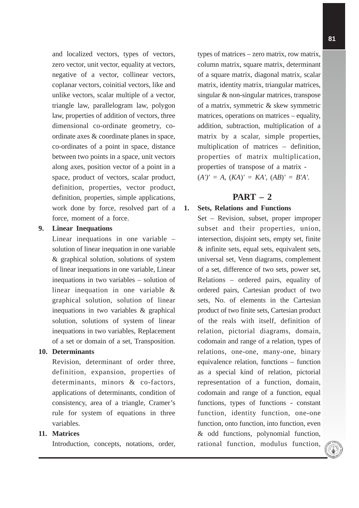and localized vectors, types of vectors, zero vector, unit vector, equality at vectors, negative of a vector, collinear vectors, coplanar vectors, coinitial vectors, like and unlike vectors, scalar multiple of a vector, triangle law, parallelogram law, polygon law, properties of addition of vectors, three dimensional co-ordinate geometry, coordinate axes & coordinate planes in space, co-ordinates of a point in space, distance between two points in a space, unit vectors along axes, position vector of a point in a space, product of vectors, scalar product, definition, properties, vector product, definition, properties, simple applications, work done by force, resolved part of a force, moment of a force.

# **9. Linear Inequations**

Linear inequations in one variable – solution of linear inequation in one variable & graphical solution, solutions of system of linear inequations in one variable, Linear inequations in two variables – solution of linear inequation in one variable & graphical solution, solution of linear inequations in two variables & graphical solution, solutions of system of linear inequations in two variables, Replacement of a set or domain of a set, Transposition.

#### **10. Determinants**

Revision, determinant of order three, definition, expansion, properties of determinants, minors & co-factors, applications of determinants, condition of consistency, area of a triangle, Cramer's rule for system of equations in three variables.

# **11. Matrices**

Introduction, concepts, notations, order,

types of matrices – zero matrix, row matrix, column matrix, square matrix, determinant of a square matrix, diagonal matrix, scalar matrix, identity matrix, triangular matrices, singular & non-singular matrices, transpose of a matrix, symmetric & skew symmetric matrices, operations on matrices – equality, addition, subtraction, multiplication of a matrix by a scalar, simple properties, multiplication of matrices – definition, properties of matrix multiplication, properties of transpose of a matrix -  $(A')' = A$ ,  $(KA)' = KA'$ ,  $(AB)' = B'A'$ .

# **PART – 2**

# **1. Sets, Relations and Functions**

Set – Revision, subset, proper improper subset and their properties, union, intersection, disjoint sets, empty set, finite & infinite sets, equal sets, equivalent sets, universal set, Venn diagrams, complement of a set, difference of two sets, power set, Relations – ordered pairs, equality of ordered pairs, Cartesian product of two sets, No. of elements in the Cartesian product of two finite sets, Cartesian product of the reals with itself, definition of relation, pictorial diagrams, domain, codomain and range of a relation, types of relations, one-one, many-one, binary equivalence relation, functions – function as a special kind of relation, pictorial representation of a function, domain, codomain and range of a function, equal functions, types of functions - constant function, identity function, one-one function, onto function, into function, even & odd functions, polynomial function, rational function, modulus function,

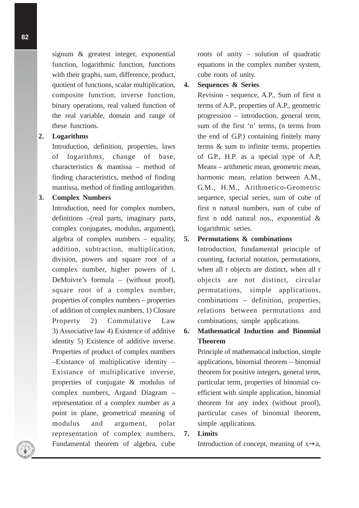signum & greatest integer, exponential function, logarithmic function, functions with their graphs, sum, difference, product, quotient of functions, scalar multiplication, composite function, inverse function, binary operations, real valued function of the real variable, domain and range of these functions.

# **2. Logarithms**

Introduction, definition, properties, laws of logarithms, change of base, characteristics & mantissa – method of finding characteristics, method of finding mantissa, method of finding antilogarithm.

#### **3. Complex Numbers**

Introduction, need for complex numbers, definitions –(real parts, imaginary parts, complex conjugates, modulus, argument), algebra of complex numbers – equality, addition, subtraction, multiplication, division, powers and square root of a complex number, higher powers of i, DeMoivre's formula – (without proof), square root of a complex number, properties of complex numbers – properties of addition of complex numbers, 1) Closure Property 2) Commulative Law 3) Associative law 4) Existence of additive identity 5) Existence of additive inverse. Properties of product of complex numbers –Existance of multiplicative identity – Existance of multiplicative inverse, properties of conjugate & modulus of complex numbers, Argand Diagram – representation of a complex number as a point in plane, geometrical meaning of modulus and argument, polar representation of complex numbers, Fundamental theorem of algebra, cube

roots of unity – solution of quadratic equations in the complex number system, cube roots of unity.

### **4. Sequences & Series**

Revision - sequence, A.P., Sum of first n terms of A.P., properties of A.P., geometric progression – introduction, general term, sum of the first 'n' terms, (n terms from the end of G.P.) containing finitely many terms & sum to infinite terms, properties of G.P., H.P. as a special type of A.P, Means – arithmetic mean, geometric mean, harmonic mean, relation between A.M., G.M., H.M., Arithmetico-Geometric sequence, special series, sum of cube of first n natural numbers, sum of cube of first n odd natural nos., exponential & logarithmic series.

#### **5. Permutations & combinations**

Introduction, fundamental principle of counting, factorial notation, permutations, when all r objects are distinct, when all r objects are not distinct, circular permutations, simple applications, combinations – definition, properties, relations between permutations and combinations, simple applications.

# **6. Mathematical Induction and Binomial Theorem**

Principle of mathematical induction, simple applications, binomial theorem – binomial theorem for positive integers, general term, particular term, properties of binomial coefficient with simple application, binomial theorem for any index (without proof), particular cases of binomial theorem, simple applications.

# **7. Limits**

Introduction of concept, meaning of  $x \rightarrow a$ ,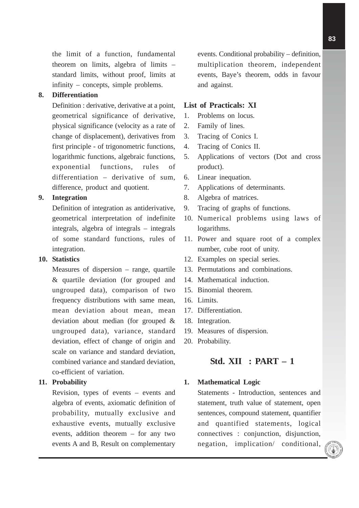the limit of a function, fundamental theorem on limits, algebra of limits – standard limits, without proof, limits at infinity – concepts, simple problems.

#### **8. Differentiation**

Definition : derivative, derivative at a point, geometrical significance of derivative, physical significance (velocity as a rate of change of displacement), derivatives from first principle - of trigonometric functions, logarithmic functions, algebraic functions, exponential functions, rules of differentiation – derivative of sum, difference, product and quotient.

#### **9. Integration**

Definition of integration as antiderivative, geometrical interpretation of indefinite integrals, algebra of integrals – integrals of some standard functions, rules of integration.

#### **10. Statistics**

Measures of dispersion – range, quartile & quartile deviation (for grouped and ungrouped data), comparison of two frequency distributions with same mean, mean deviation about mean, mean deviation about median (for grouped & ungrouped data), variance, standard deviation, effect of change of origin and scale on variance and standard deviation, combined variance and standard deviation, co-efficient of variation.

# **11. Probability**

Revision, types of events – events and algebra of events, axiomatic definition of probability, mutually exclusive and exhaustive events, mutually exclusive events, addition theorem – for any two events A and B, Result on complementary

events. Conditional probability – definition, multiplication theorem, independent events, Baye's theorem, odds in favour and against.

#### **List of Practicals: XI**

- 1. Problems on locus.
- 2. Family of lines.
- 3. Tracing of Conics I.
- 4. Tracing of Conics II.
- 5. Applications of vectors (Dot and cross product).
- 6. Linear inequation.
- 7. Applications of determinants.
- 8. Algebra of matrices.
- 9. Tracing of graphs of functions.
- 10. Numerical problems using laws of logarithms.
- 11. Power and square root of a complex number, cube root of unity.
- 12. Examples on special series.
- 13. Permutations and combinations.
- 14. Mathematical induction.
- 15. Binomial theorem.
- 16. Limits.
- 17. Differentiation.
- 18. Integration.
- 19. Measures of dispersion.
- 20. Probability.

# **Std. XII : PART – 1**

#### **1. Mathematical Logic**

Statements - Introduction, sentences and statement, truth value of statement, open sentences, compound statement, quantifier and quantified statements, logical connectives : conjunction, disjunction, negation, implication/ conditional,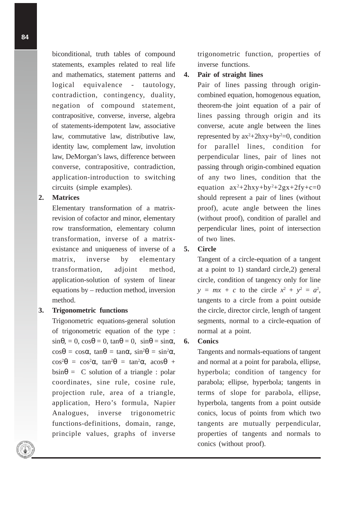biconditional, truth tables of compound statements, examples related to real life and mathematics, statement patterns and logical equivalence - tautology, contradiction, contingency, duality, negation of compound statement, contrapositive, converse, inverse, algebra of statements-idempotent law, associative law, commutative law, distributive law, identity law, complement law, involution law, DeMorgan's laws, difference between converse, contrapositive, contradiction, application-introduction to switching circuits (simple examples).

#### **2. Matrices**

Elementary transformation of a matrixrevision of cofactor and minor, elementary row transformation, elementary column transformation, inverse of a matrixexistance and uniqueness of inverse of a matrix, inverse by elementary transformation, adjoint method, application-solution of system of linear equations by – reduction method, inversion method.

#### **3. Trigonometric functions**

Trigonometric equations-general solution of trigonometric equation of the type :  $\sin\theta$ , = 0,  $\cos\theta$  = 0,  $\tan\theta$  = 0,  $\sin\theta$  =  $\sin\alpha$ ,  $\cos\theta = \cos\alpha$ ,  $\tan\theta = \tan\alpha$ ,  $\sin^2\theta = \sin^2\alpha$ ,  $\cos^2\theta = \cos^2\alpha$ ,  $\tan^2\theta = \tan^2\alpha$ ,  $\arccos\theta$  +  $bsin\theta = C$  solution of a triangle : polar coordinates, sine rule, cosine rule, projection rule, area of a triangle, application, Hero's formula, Napier Analogues, inverse trigonometric functions-definitions, domain, range, principle values, graphs of inverse

trigonometric function, properties of inverse functions.

#### **4. Pair of straight lines**

Pair of lines passing through origincombined equation, homogenous equation, theorem-the joint equation of a pair of lines passing through origin and its converse, acute angle between the lines represented by  $ax^2+2hxy+by^2=0$ , condition for parallel lines, condition for perpendicular lines, pair of lines not passing through origin-combined equation of any two lines, condition that the equation  $ax^2+2hxy+by^2+2gx+2fy+c=0$ should represent a pair of lines (without proof), acute angle between the lines (without proof), condition of parallel and perpendicular lines, point of intersection of two lines.

#### **5. Circle**

Tangent of a circle-equation of a tangent at a point to 1) standard circle,2) general circle, condition of tangency only for line  $y = mx + c$  to the circle  $x^2 + y^2 = a^2$ , tangents to a circle from a point outside the circle, director circle, length of tangent segments, normal to a circle-equation of normal at a point.

#### **6. Conics**

Tangents and normals-equations of tangent and normal at a point for parabola, ellipse, hyperbola; condition of tangency for parabola; ellipse, hyperbola; tangents in terms of slope for parabola, ellipse, hyperbola, tangents from a point outside conics, locus of points from which two tangents are mutually perpendicular, properties of tangents and normals to conics (without proof).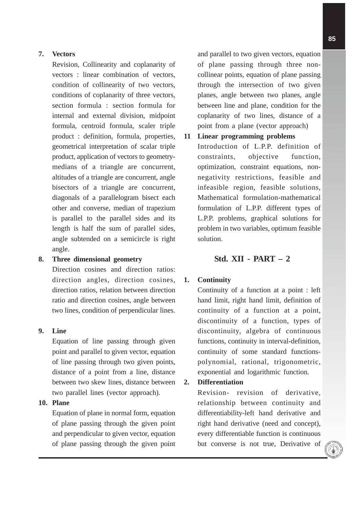### **7. Vectors**

Revision, Collinearity and coplanarity of vectors : linear combination of vectors, condition of collinearity of two vectors, conditions of coplanarity of three vectors, section formula : section formula for internal and external division, midpoint formula, centroid formula, scaler triple product : definition, formula, properties, geometrical interpretation of scalar triple product, application of vectors to geometrymedians of a triangle are concurrent, altitudes of a triangle are concurrent, angle bisectors of a triangle are concurrent, diagonals of a parallelogram bisect each other and converse, median of trapezium is parallel to the parallel sides and its length is half the sum of parallel sides, angle subtended on a semicircle is right angle.

#### **8. Three dimensional geometry**

Direction cosines and direction ratios: direction angles, direction cosines, direction ratios, relation between direction ratio and direction cosines, angle between two lines, condition of perpendicular lines.

#### **9. Line**

Equation of line passing through given point and parallel to given vector, equation of line passing through two given points, distance of a point from a line, distance between two skew lines, distance between two parallel lines (vector approach).

# **10. Plane**

Equation of plane in normal form, equation of plane passing through the given point and perpendicular to given vector, equation of plane passing through the given point and parallel to two given vectors, equation of plane passing through three noncollinear points, equation of plane passing through the intersection of two given planes, angle between two planes, angle between line and plane, condition for the coplanarity of two lines, distance of a point from a plane (vector approach)

# **11 Linear programming problems**

Introduction of L.P.P. definition of constraints, objective function, optimization, constraint equations, nonnegativity restrictions, feasible and infeasible region, feasible solutions, Mathematical formulation-mathematical formulation of L.P.P. different types of L.P.P. problems, graphical solutions for problem in two variables, optimum feasible solution.

# **Std. XII - PART – 2**

#### **1. Continuity**

Continuity of a function at a point : left hand limit, right hand limit, definition of continuity of a function at a point, discontinuity of a function, types of discontinuity, algebra of continuous functions, continuity in interval-definition, continuity of some standard functionspolynomial, rational, trigonometric, exponential and logarithmic function.

#### **2. Differentiation**

Revision- revision of derivative, relationship between continuity and differentiability-left hand derivative and right hand derivative (need and concept), every differentiable function is continuous but converse is not true, Derivative of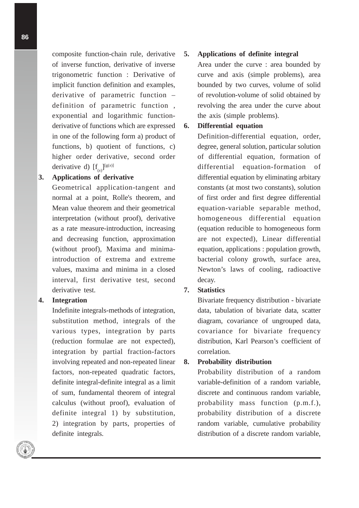composite function-chain rule, derivative of inverse function, derivative of inverse trigonometric function : Derivative of implicit function definition and examples, derivative of parametric function – definition of parametric function , exponential and logarithmic functionderivative of functions which are expressed in one of the following form a) product of functions, b) quotient of functions, c) higher order derivative, second order derivative d)  $[f_{(x)}]^{[g(x)]}$ 

# **3. Applications of derivative**

Geometrical application-tangent and normal at a point, Rolle's theorem, and Mean value theorem and their geometrical interpretation (without proof), derivative as a rate measure-introduction, increasing and decreasing function, approximation (without proof), Maxima and minimaintroduction of extrema and extreme values, maxima and minima in a closed interval, first derivative test, second derivative test.

# **4. Integration**

Indefinite integrals-methods of integration, substitution method, integrals of the various types, integration by parts (reduction formulae are not expected), integration by partial fraction-factors involving repeated and non-repeated linear factors, non-repeated quadratic factors, definite integral-definite integral as a limit of sum, fundamental theorem of integral calculus (without proof), evaluation of definite integral 1) by substitution, 2) integration by parts, properties of definite integrals.

#### **5. Applications of definite integral**

Area under the curve : area bounded by curve and axis (simple problems), area bounded by two curves, volume of solid of revolution-volume of solid obtained by revolving the area under the curve about the axis (simple problems).

# **6. Differential equation**

Definition-differential equation, order, degree, general solution, particular solution of differential equation, formation of differential equation-formation of differential equation by eliminating arbitary constants (at most two constants), solution of first order and first degree differential equation-variable separable method, homogeneous differential equation (equation reducible to homogeneous form are not expected), Linear differential equation, applications : population growth, bacterial colony growth, surface area, Newton's laws of cooling, radioactive decay.

#### **7. Statistics**

Bivariate frequency distribution - bivariate data, tabulation of bivariate data, scatter diagram, covariance of ungrouped data, covariance for bivariate frequency distribution, Karl Pearson's coefficient of correlation.

#### **8. Probability distribution**

Probability distribution of a random variable-definition of a random variable, discrete and continuous random variable, probability mass function (p.m.f.), probability distribution of a discrete random variable, cumulative probability distribution of a discrete random variable,